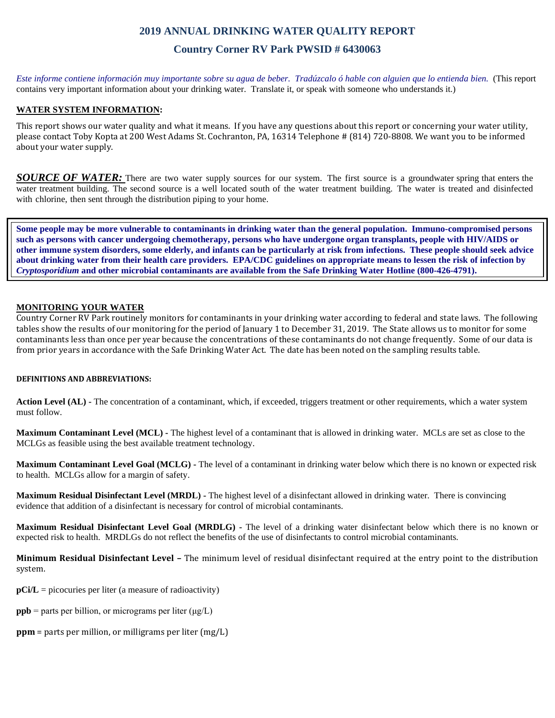# **2019 ANNUAL DRINKING WATER QUALITY REPORT**

## **Country Corner RV Park PWSID # 6430063**

*Este informe contiene información muy importante sobre su agua de beber. Tradúzcalo ó hable con alguien que lo entienda bien.* (This report contains very important information about your drinking water. Translate it, or speak with someone who understands it.)

### **WATER SYSTEM INFORMATION:**

This report shows our water quality and what it means. If you have any questions about this report or concerning your water utility, please contact Toby Kopta at 200 West Adams St. Cochranton, PA, 16314 Telephone # (814) 720-8808. We want you to be informed about your water supply.

*SOURCE OF WATER:* There are two water supply sources for our system. The first source is a groundwater spring that enters the water treatment building. The second source is a well located south of the water treatment building. The water is treated and disinfected with chlorine, then sent through the distribution piping to your home.

**Some people may be more vulnerable to contaminants in drinking water than the general population. Immuno-compromised persons such as persons with cancer undergoing chemotherapy, persons who have undergone organ transplants, people with HIV/AIDS or other immune system disorders, some elderly, and infants can be particularly at risk from infections. These people should seek advice about drinking water from their health care providers. EPA/CDC guidelines on appropriate means to lessen the risk of infection by**  *Cryptosporidium* **and other microbial contaminants are available from the Safe Drinking Water Hotline (800-426-4791).**

#### **MONITORING YOUR WATER**

Country Corner RV Park routinely monitors for contaminants in your drinking water according to federal and state laws. The following tables show the results of our monitoring for the period of January 1 to December 31, 2019. The State allows us to monitor for some contaminants less than once per year because the concentrations of these contaminants do not change frequently. Some of our data is from prior years in accordance with the Safe Drinking Water Act. The date has been noted on the sampling results table.

#### **DEFINITIONS AND ABBREVIATIONS:**

**Action Level (AL) -** The concentration of a contaminant, which, if exceeded, triggers treatment or other requirements, which a water system must follow.

**Maximum Contaminant Level (MCL) -** The highest level of a contaminant that is allowed in drinking water. MCLs are set as close to the MCLGs as feasible using the best available treatment technology.

**Maximum Contaminant Level Goal (MCLG) -** The level of a contaminant in drinking water below which there is no known or expected risk to health. MCLGs allow for a margin of safety.

**Maximum Residual Disinfectant Level (MRDL) -** The highest level of a disinfectant allowed in drinking water. There is convincing evidence that addition of a disinfectant is necessary for control of microbial contaminants.

**Maximum Residual Disinfectant Level Goal (MRDLG) -** The level of a drinking water disinfectant below which there is no known or expected risk to health. MRDLGs do not reflect the benefits of the use of disinfectants to control microbial contaminants.

**Minimum Residual Disinfectant Level –** The minimum level of residual disinfectant required at the entry point to the distribution system.

**pCi/L** = picocuries per liter (a measure of radioactivity)

- **ppb** = parts per billion, or micrograms per liter  $(\mu g/L)$
- **ppm** = parts per million, or milligrams per liter (mg/L)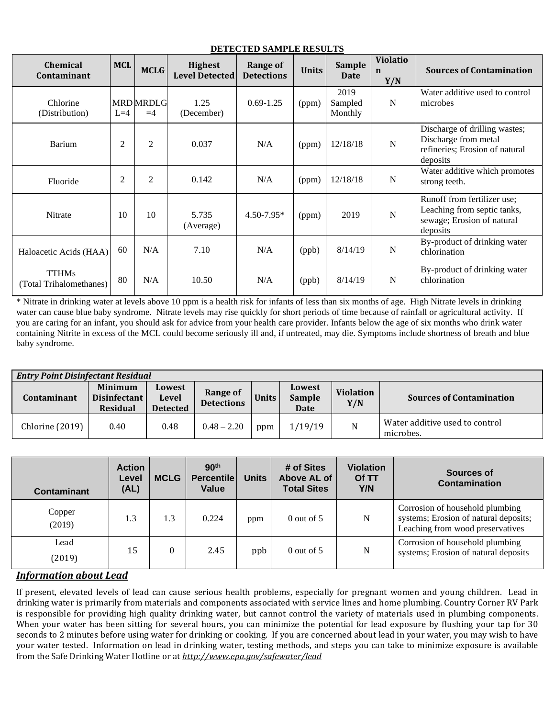| <b>Chemical</b><br>Contaminant          | <b>MCL</b>     | <b>MCLG</b>              | <b>Highest</b><br><b>Level Detected</b> | Range of<br><b>Detections</b> | <b>Units</b> | <b>Sample</b><br><b>Date</b> | <b>Violatio</b><br>n<br>Y/N | <b>Sources of Contamination</b>                                                                      |
|-----------------------------------------|----------------|--------------------------|-----------------------------------------|-------------------------------|--------------|------------------------------|-----------------------------|------------------------------------------------------------------------------------------------------|
| Chlorine<br>(Distribution)              | $L=4$          | <b>MRD MRDLG</b><br>$=4$ | 1.25<br>(December)                      | $0.69 - 1.25$                 | (ppm)        | 2019<br>Sampled<br>Monthly   | $\mathbf N$                 | Water additive used to control<br>microbes                                                           |
| Barium                                  | $\overline{2}$ | $\overline{2}$           | 0.037                                   | N/A                           | (ppm)        | 12/18/18                     | $\mathbf N$                 | Discharge of drilling wastes;<br>Discharge from metal<br>refineries; Erosion of natural<br>deposits  |
| Fluoride                                | $\overline{2}$ | $\overline{2}$           | 0.142                                   | N/A                           | (ppm)        | 12/18/18                     | N                           | Water additive which promotes<br>strong teeth.                                                       |
| Nitrate                                 | 10             | 10                       | 5.735<br>(Average)                      | $4.50 - 7.95*$                | (ppm)        | 2019                         | $\mathbf N$                 | Runoff from fertilizer use;<br>Leaching from septic tanks,<br>sewage; Erosion of natural<br>deposits |
| Haloacetic Acids (HAA)                  | 60             | N/A                      | 7.10                                    | N/A                           | (ppb)        | 8/14/19                      | N                           | By-product of drinking water<br>chlorination                                                         |
| <b>TTHMs</b><br>(Total Trihalomethanes) | 80             | N/A                      | 10.50                                   | N/A                           | (ppb)        | 8/14/19                      | $\mathbf N$                 | By-product of drinking water<br>chlorination                                                         |

**DETECTED SAMPLE RESULTS**

\* Nitrate in drinking water at levels above 10 ppm is a health risk for infants of less than six months of age. High Nitrate levels in drinking water can cause blue baby syndrome. Nitrate levels may rise quickly for short periods of time because of rainfall or agricultural activity. If you are caring for an infant, you should ask for advice from your health care provider. Infants below the age of six months who drink water containing Nitrite in excess of the MCL could become seriously ill and, if untreated, may die. Symptoms include shortness of breath and blue baby syndrome.

| <b>Entry Point Disinfectant Residual</b> |                                                   |                                    |                                      |       |                                 |                         |                                             |  |
|------------------------------------------|---------------------------------------------------|------------------------------------|--------------------------------------|-------|---------------------------------|-------------------------|---------------------------------------------|--|
| Contaminant                              | Minimum<br><b>Disinfectant</b><br><b>Residual</b> | Lowest<br>Level<br><b>Detected</b> | <b>Range of</b><br><b>Detections</b> | Units | Lowest<br><b>Sample</b><br>Date | <b>Violation</b><br>Y/N | <b>Sources of Contamination</b>             |  |
| Chlorine (2019)                          | 0.40                                              | 0.48                               | $0.48 - 2.20$                        | ppm   | 1/19/19                         | N                       | Water additive used to control<br>microbes. |  |

| <b>Contaminant</b> | <b>Action</b><br>Level<br>(AL) | <b>MCLG</b> | 90 <sup>th</sup><br><b>Percentile</b><br>Value | <b>Units</b> | # of Sites<br>Above AL of<br><b>Total Sites</b> | <b>Violation</b><br>Of TT<br>Y/N | Sources of<br>Contamination                                                                                  |
|--------------------|--------------------------------|-------------|------------------------------------------------|--------------|-------------------------------------------------|----------------------------------|--------------------------------------------------------------------------------------------------------------|
| Copper<br>(2019)   | 1.3                            | 1.3         | 0.224                                          | ppm          | $0$ out of 5                                    | N                                | Corrosion of household plumbing<br>systems; Erosion of natural deposits;<br>Leaching from wood preservatives |
| Lead<br>(2019)     | 15                             | $\theta$    | 2.45                                           | ppb          | $0$ out of 5                                    | N                                | Corrosion of household plumbing<br>systems; Erosion of natural deposits                                      |

# *Information about Lead*

If present, elevated levels of lead can cause serious health problems, especially for pregnant women and young children. Lead in drinking water is primarily from materials and components associated with service lines and home plumbing. Country Corner RV Park is responsible for providing high quality drinking water, but cannot control the variety of materials used in plumbing components. When your water has been sitting for several hours, you can minimize the potential for lead exposure by flushing your tap for 30 seconds to 2 minutes before using water for drinking or cooking. If you are concerned about lead in your water, you may wish to have your water tested. Information on lead in drinking water, testing methods, and steps you can take to minimize exposure is available from the Safe Drinking Water Hotline or at *<http://www.epa.gov/safewater/lead>*